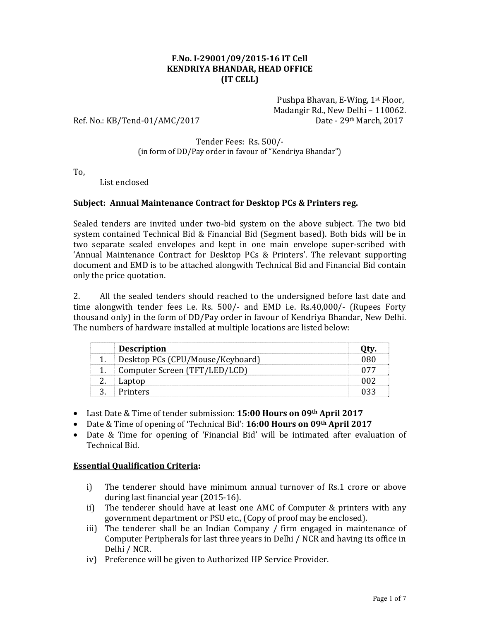### **F.No. I-29001/09/2015-16 IT Cell KENDRIYA BHANDAR, HEAD OFFICE (IT CELL)**

 Pushpa Bhavan, E-Wing, 1st Floor, Madangir Rd., New Delhi – 110062. Ref. No.: KB/Tend-01/AMC/2017 Date - 29<sup>th</sup> March, 2017

### Tender Fees: Rs. 500/- (in form of DD/Pay order in favour of "Kendriya Bhandar")

To,

List enclosed

## **Subject: Annual Maintenance Contract for Desktop PCs & Printers reg.**

Sealed tenders are invited under two-bid system on the above subject. The two bid system contained Technical Bid & Financial Bid (Segment based). Both bids will be in two separate sealed envelopes and kept in one main envelope super-scribed with 'Annual Maintenance Contract for Desktop PCs & Printers'. The relevant supporting document and EMD is to be attached alongwith Technical Bid and Financial Bid contain only the price quotation.

2. All the sealed tenders should reached to the undersigned before last date and time alongwith tender fees i.e. Rs. 500/- and EMD i.e. Rs.40,000/- (Rupees Forty thousand only) in the form of DD/Pay order in favour of Kendriya Bhandar, New Delhi. The numbers of hardware installed at multiple locations are listed below:

| <b>Description</b>               |  |
|----------------------------------|--|
| Desktop PCs (CPU/Mouse/Keyboard) |  |
| Computer Screen (TFT/LED/LCD)    |  |
|                                  |  |
| - Printers                       |  |

- Last Date & Time of tender submission: **15:00 Hours on 09th April 2017**
- Date & Time of opening of 'Technical Bid': **16:00 Hours on 09th April 2017**
- Date & Time for opening of 'Financial Bid' will be intimated after evaluation of Technical Bid.

## **Essential Qualification Criteria:**

- i) The tenderer should have minimum annual turnover of Rs.1 crore or above during last financial year (2015-16).
- ii) The tenderer should have at least one AMC of Computer & printers with any government department or PSU etc., (Copy of proof may be enclosed).
- iii) The tenderer shall be an Indian Company / firm engaged in maintenance of Computer Peripherals for last three years in Delhi / NCR and having its office in Delhi / NCR.
- iv) Preference will be given to Authorized HP Service Provider.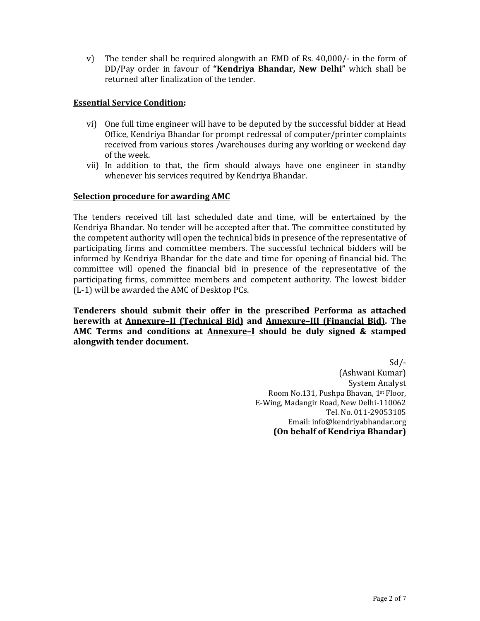v) The tender shall be required alongwith an EMD of Rs. 40,000/- in the form of DD/Pay order in favour of **"Kendriya Bhandar, New Delhi"** which shall be returned after finalization of the tender.

## **Essential Service Condition:**

- vi) One full time engineer will have to be deputed by the successful bidder at Head Office, Kendriya Bhandar for prompt redressal of computer/printer complaints received from various stores /warehouses during any working or weekend day of the week.
- vii) In addition to that, the firm should always have one engineer in standby whenever his services required by Kendriya Bhandar.

## **Selection procedure for awarding AMC**

The tenders received till last scheduled date and time, will be entertained by the Kendriya Bhandar. No tender will be accepted after that. The committee constituted by the competent authority will open the technical bids in presence of the representative of participating firms and committee members. The successful technical bidders will be informed by Kendriya Bhandar for the date and time for opening of financial bid. The committee will opened the financial bid in presence of the representative of the participating firms, committee members and competent authority. The lowest bidder (L-1) will be awarded the AMC of Desktop PCs.

**Tenderers should submit their offer in the prescribed Performa as attached herewith at Annexure–II (Technical Bid) and Annexure–III (Financial Bid). The AMC Terms and conditions at Annexure–I should be duly signed & stamped alongwith tender document.** 

> Sd/- (Ashwani Kumar) System Analyst Room No.131, Pushpa Bhavan, 1st Floor, E-Wing, Madangir Road, New Delhi-110062 Tel. No. 011-29053105 Email: info@kendriyabhandar.org **(On behalf of Kendriya Bhandar)**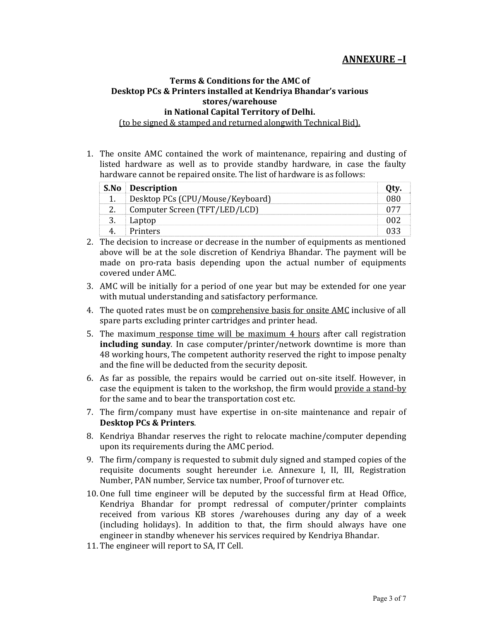# **ANNEXURE –I**

## **Terms & Conditions for the AMC of Desktop PCs & Printers installed at Kendriya Bhandar's various stores/warehouse in National Capital Territory of Delhi.**

(to be signed & stamped and returned alongwith Technical Bid).

1. The onsite AMC contained the work of maintenance, repairing and dusting of listed hardware as well as to provide standby hardware, in case the faulty hardware cannot be repaired onsite. The list of hardware is as follows:

| <b>S.No Description</b>          |  |
|----------------------------------|--|
| Desktop PCs (CPU/Mouse/Keyboard) |  |
| Computer Screen (TFT/LED/LCD)    |  |
| Laptop                           |  |
| Printers                         |  |

- 2. The decision to increase or decrease in the number of equipments as mentioned above will be at the sole discretion of Kendriya Bhandar. The payment will be made on pro-rata basis depending upon the actual number of equipments covered under AMC.
- 3. AMC will be initially for a period of one year but may be extended for one year with mutual understanding and satisfactory performance.
- 4. The quoted rates must be on comprehensive basis for onsite AMC inclusive of all spare parts excluding printer cartridges and printer head.
- 5. The maximum response time will be maximum 4 hours after call registration **including sunday**. In case computer/printer/network downtime is more than 48 working hours, The competent authority reserved the right to impose penalty and the fine will be deducted from the security deposit.
- 6. As far as possible, the repairs would be carried out on-site itself. However, in case the equipment is taken to the workshop, the firm would provide a stand-by for the same and to bear the transportation cost etc.
- 7. The firm/company must have expertise in on-site maintenance and repair of **Desktop PCs & Printers**.
- 8. Kendriya Bhandar reserves the right to relocate machine/computer depending upon its requirements during the AMC period.
- 9. The firm/company is requested to submit duly signed and stamped copies of the requisite documents sought hereunder i.e. Annexure I, II, III, Registration Number, PAN number, Service tax number, Proof of turnover etc.
- 10. One full time engineer will be deputed by the successful firm at Head Office, Kendriya Bhandar for prompt redressal of computer/printer complaints received from various KB stores /warehouses during any day of a week (including holidays). In addition to that, the firm should always have one engineer in standby whenever his services required by Kendriya Bhandar.
- 11. The engineer will report to SA, IT Cell.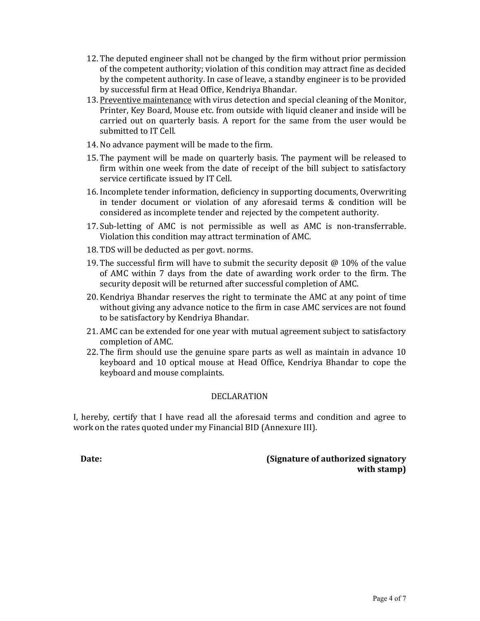- 12. The deputed engineer shall not be changed by the firm without prior permission of the competent authority; violation of this condition may attract fine as decided by the competent authority. In case of leave, a standby engineer is to be provided by successful firm at Head Office, Kendriya Bhandar.
- 13. Preventive maintenance with virus detection and special cleaning of the Monitor, Printer, Key Board, Mouse etc. from outside with liquid cleaner and inside will be carried out on quarterly basis. A report for the same from the user would be submitted to IT Cell.
- 14. No advance payment will be made to the firm.
- 15. The payment will be made on quarterly basis. The payment will be released to firm within one week from the date of receipt of the bill subject to satisfactory service certificate issued by IT Cell.
- 16. Incomplete tender information, deficiency in supporting documents, Overwriting in tender document or violation of any aforesaid terms & condition will be considered as incomplete tender and rejected by the competent authority.
- 17. Sub-letting of AMC is not permissible as well as AMC is non-transferrable. Violation this condition may attract termination of AMC.
- 18. TDS will be deducted as per govt. norms.
- 19. The successful firm will have to submit the security deposit  $\omega$  10% of the value of AMC within 7 days from the date of awarding work order to the firm. The security deposit will be returned after successful completion of AMC.
- 20. Kendriya Bhandar reserves the right to terminate the AMC at any point of time without giving any advance notice to the firm in case AMC services are not found to be satisfactory by Kendriya Bhandar.
- 21. AMC can be extended for one year with mutual agreement subject to satisfactory completion of AMC.
- 22. The firm should use the genuine spare parts as well as maintain in advance 10 keyboard and 10 optical mouse at Head Office, Kendriya Bhandar to cope the keyboard and mouse complaints.

#### DECLARATION

I, hereby, certify that I have read all the aforesaid terms and condition and agree to work on the rates quoted under my Financial BID (Annexure III).

**Date: (Signature of authorized signatory with stamp)**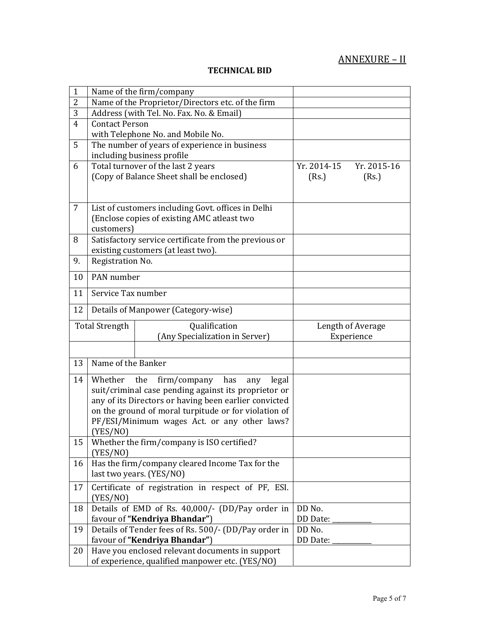# ANNEXURE – II

# **TECHNICAL BID**

| $\mathbf{1}$   | Name of the firm/company                                                         |                            |
|----------------|----------------------------------------------------------------------------------|----------------------------|
| $\overline{2}$ | Name of the Proprietor/Directors etc. of the firm                                |                            |
| 3              | Address (with Tel. No. Fax. No. & Email)                                         |                            |
| $\overline{4}$ | <b>Contact Person</b>                                                            |                            |
|                | with Telephone No. and Mobile No.                                                |                            |
| 5              | The number of years of experience in business                                    |                            |
|                | including business profile                                                       |                            |
| 6              | Total turnover of the last 2 years                                               | Yr. 2014-15<br>Yr. 2015-16 |
|                | (Copy of Balance Sheet shall be enclosed)                                        | (Rs.)<br>(Rs.)             |
|                |                                                                                  |                            |
| 7              | List of customers including Govt. offices in Delhi                               |                            |
|                | (Enclose copies of existing AMC atleast two                                      |                            |
|                | customers)                                                                       |                            |
| 8              | Satisfactory service certificate from the previous or                            |                            |
|                | existing customers (at least two).                                               |                            |
| 9.             | Registration No.                                                                 |                            |
|                |                                                                                  |                            |
| 10             | PAN number                                                                       |                            |
| 11             | Service Tax number                                                               |                            |
| 12             | Details of Manpower (Category-wise)                                              |                            |
|                | <b>Total Strength</b><br>Qualification                                           | Length of Average          |
|                | (Any Specialization in Server)                                                   | Experience                 |
|                |                                                                                  |                            |
| 13             | Name of the Banker                                                               |                            |
|                |                                                                                  |                            |
| 14             | Whether<br>the<br>firm/company<br>has<br>legal<br>any                            |                            |
|                | suit/criminal case pending against its proprietor or                             |                            |
|                | any of its Directors or having been earlier convicted                            |                            |
|                | on the ground of moral turpitude or for violation of                             |                            |
|                | PF/ESI/Minimum wages Act. or any other laws?                                     |                            |
|                | (YES/NO)                                                                         |                            |
| 15             | Whether the firm/company is ISO certified?                                       |                            |
|                | (YES/NO)<br>Has the firm/company cleared Income Tax for the                      |                            |
| 16             | last two years. (YES/NO)                                                         |                            |
|                |                                                                                  |                            |
| 17             | Certificate of registration in respect of PF, ESI.                               |                            |
|                | (YES/NO)                                                                         |                            |
| 18             | Details of EMD of Rs. 40,000/- (DD/Pay order in                                  | DD No.                     |
|                | favour of "Kendriya Bhandar")                                                    | DD Date:                   |
| 19             | Details of Tender fees of Rs. 500/- (DD/Pay order in                             | DD No.                     |
| 20             | favour of "Kendriya Bhandar")<br>Have you enclosed relevant documents in support | DD Date:                   |
|                | of experience, qualified manpower etc. (YES/NO)                                  |                            |
|                |                                                                                  |                            |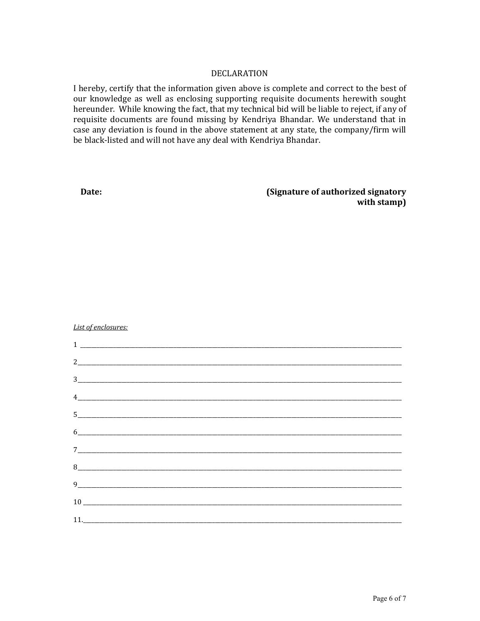### **DECLARATION**

I hereby, certify that the information given above is complete and correct to the best of our knowledge as well as enclosing supporting requisite documents herewith sought hereunder. While knowing the fact, that my technical bid will be liable to reject, if any of requisite documents are found missing by Kendriya Bhandar. We understand that in case any deviation is found in the above statement at any state, the company/firm will be black-listed and will not have any deal with Kendriya Bhandar.

Date:

(Signature of authorized signatory with stamp)

List of enclosures:

| $\begin{tabular}{c} \multicolumn{2}{c} {\textbf{1}} & \multicolumn{2}{c} {\textbf{1}} \\ \multicolumn{2}{c} {\textbf{1}} & \multicolumn{2}{c} {\textbf{1}} \\ \multicolumn{2}{c} {\textbf{1}} & \multicolumn{2}{c} {\textbf{1}} \\ \multicolumn{2}{c} {\textbf{1}} & \multicolumn{2}{c} {\textbf{1}} \\ \multicolumn{2}{c} {\textbf{1}} & \multicolumn{2}{c} {\textbf{1}} \\ \multicolumn{2}{c} {\textbf{1}} & \multicolumn{2}{c} {\textbf{1}} \\ \multicolumn{2}{c} {\textbf{1}} & \multicolumn$ |  |  |
|---------------------------------------------------------------------------------------------------------------------------------------------------------------------------------------------------------------------------------------------------------------------------------------------------------------------------------------------------------------------------------------------------------------------------------------------------------------------------------------------------|--|--|
|                                                                                                                                                                                                                                                                                                                                                                                                                                                                                                   |  |  |
|                                                                                                                                                                                                                                                                                                                                                                                                                                                                                                   |  |  |
| $\frac{1}{2}$                                                                                                                                                                                                                                                                                                                                                                                                                                                                                     |  |  |
| $\begin{tabular}{ c c c c } \hline 5 & \quad \quad & \quad \quad & \quad \quad & \quad \quad \\ \hline \end{tabular}$                                                                                                                                                                                                                                                                                                                                                                             |  |  |
|                                                                                                                                                                                                                                                                                                                                                                                                                                                                                                   |  |  |
|                                                                                                                                                                                                                                                                                                                                                                                                                                                                                                   |  |  |
|                                                                                                                                                                                                                                                                                                                                                                                                                                                                                                   |  |  |
|                                                                                                                                                                                                                                                                                                                                                                                                                                                                                                   |  |  |
|                                                                                                                                                                                                                                                                                                                                                                                                                                                                                                   |  |  |
|                                                                                                                                                                                                                                                                                                                                                                                                                                                                                                   |  |  |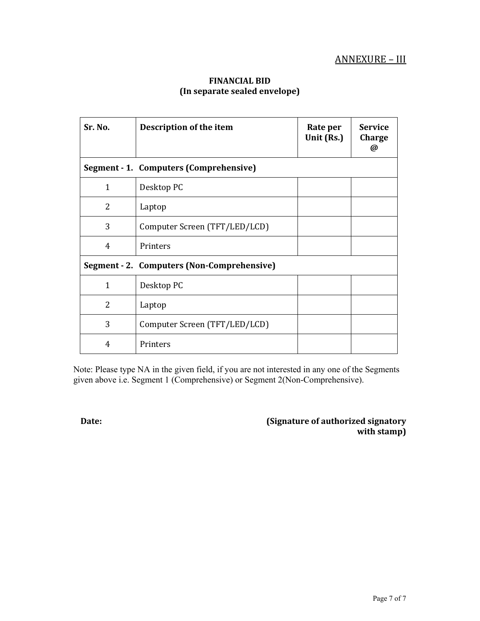## ANNEXURE – III

#### **FINANCIAL BID (In separate sealed envelope)**

| Sr. No.        | Description of the item                    | Rate per<br>Unit (Rs.) | <b>Service</b><br>Charge<br>$\omega$ |
|----------------|--------------------------------------------|------------------------|--------------------------------------|
|                | Segment - 1. Computers (Comprehensive)     |                        |                                      |
| $\mathbf{1}$   | Desktop PC                                 |                        |                                      |
| $\overline{2}$ | Laptop                                     |                        |                                      |
| 3              | Computer Screen (TFT/LED/LCD)              |                        |                                      |
| 4              | Printers                                   |                        |                                      |
|                | Segment - 2. Computers (Non-Comprehensive) |                        |                                      |
| $\mathbf{1}$   | Desktop PC                                 |                        |                                      |
| $\mathcal{L}$  | Laptop                                     |                        |                                      |
| 3              | Computer Screen (TFT/LED/LCD)              |                        |                                      |
| 4              | Printers                                   |                        |                                      |

Note: Please type NA in the given field, if you are not interested in any one of the Segments given above i.e. Segment 1 (Comprehensive) or Segment 2(Non-Comprehensive).

**Date: Constant Constant Constant Constant Constant Constant Constant Constant Constant Constant Constant Constant Constant Constant Constant Constant Constant Constant Constant Constant Constant Constant Constant Consta with stamp)**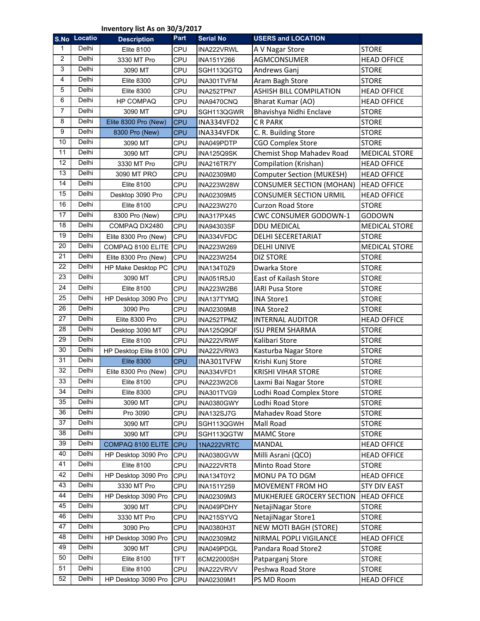**Inventory list As on 30/3/2017**

|                | S.No Locatio | <b>Description</b>    | Part       | <b>Serial No</b>  | <b>USERS and LOCATION</b>        |                      |
|----------------|--------------|-----------------------|------------|-------------------|----------------------------------|----------------------|
| 1              | Delhi        | <b>Elite 8100</b>     | CPU        | INA222VRWL        | A V Nagar Store                  | <b>STORE</b>         |
| $\overline{2}$ | Delhi        | 3330 MT Pro           | CPU        | INA151Y266        | AGMCONSUMER                      | <b>HEAD OFFICE</b>   |
| 3              | Delhi        | 3090 MT               | CPU        | SGH113QGTQ        | Andrews Ganj                     | <b>STORE</b>         |
| $\overline{4}$ | Delhi        | <b>Elite 8300</b>     | CPU        | INA301TVFM        | Aram Bagh Store                  | <b>STORE</b>         |
| 5              | Delhi        | <b>Elite 8300</b>     | CPU        | INA252TPN7        | ASHISH BILL COMPILATION          | <b>HEAD OFFICE</b>   |
| 6              | Delhi        | <b>HP COMPAQ</b>      | CPU        | INA9470CNQ        | Bharat Kumar (AO)                | <b>HEAD OFFICE</b>   |
| $\overline{7}$ | Delhi        | 3090 MT               | CPU        | SGH113QGWR        | Bhavishya Nidhi Enclave          | <b>STORE</b>         |
| 8              | Delhi        | Elite 8300 Pro (New)  | <b>CPU</b> | INA334VFD2        | C R PARK                         | <b>STORE</b>         |
| 9              | Delhi        | 8300 Pro (New)        | <b>CPU</b> | INA334VFDK        | C. R. Building Store             | <b>STORE</b>         |
| 10             | Delhi        | 3090 MT               | CPU        | INA049PDTP        | <b>CGO Complex Store</b>         | <b>STORE</b>         |
| 11             | Delhi        | 3090 MT               | CPU        | INA125Q9SK        | Chemist Shop Mahadev Road        | <b>MEDICAL STORE</b> |
| 12             | Delhi        | 3330 MT Pro           | CPU        | INA216TR7Y        | Compilation (Krishan)            | <b>HEAD OFFICE</b>   |
| 13             | Delhi        | 3090 MT PRO           | CPU        | INA02309M0        | <b>Computer Section (MUKESH)</b> | <b>HEAD OFFICE</b>   |
| 14             | Delhi        | <b>Elite 8100</b>     | CPU        | INA223W28W        | <b>CONSUMER SECTION (MOHAN)</b>  | <b>HEAD OFFICE</b>   |
| 15             | Delhi        | Desktop 3090 Pro      | CPU        | INA02309M5        | <b>CONSUMER SECTION URMIL</b>    | <b>HEAD OFFICE</b>   |
| 16             | Delhi        | <b>Elite 8100</b>     | CPU        | INA223W270        | <b>Curzon Road Store</b>         | <b>STORE</b>         |
| 17             | Delhi        | 8300 Pro (New)        | CPU        | <b>INA317PX45</b> | CWC CONSUMER GODOWN-1            | GODOWN               |
| 18             | Delhi        | COMPAQ DX2480         | CPU        | INA94303SF        | <b>DDU MEDICAL</b>               | <b>MEDICAL STORE</b> |
| 19             | Delhi        | Elite 8300 Pro (New)  | CPU        | INA334VFDC        | DELHI SECERETARIAT               | <b>STORE</b>         |
| 20             | Delhi        | COMPAQ 8100 ELITE     | CPU        | INA223W269        | <b>DELHI UNIVE</b>               | <b>MEDICAL STORE</b> |
| 21             | Delhi        | Elite 8300 Pro (New)  | CPU        | INA223W254        | <b>DIZ STORE</b>                 | <b>STORE</b>         |
| 22             | Delhi        | HP Make Desktop PC    | CPU        | INA134T0Z9        | Dwarka Store                     | <b>STORE</b>         |
| 23             | Delhi        | 3090 MT               | CPU        | INA051R5J0        | East of Kailash Store            | <b>STORE</b>         |
| 24             | Delhi        | <b>Elite 8100</b>     | CPU        | INA223W2B6        | <b>IARI Pusa Store</b>           | <b>STORE</b>         |
| 25             | Delhi        | HP Desktop 3090 Pro   | CPU        | INA137TYMQ        | <b>INA Store1</b>                | <b>STORE</b>         |
| 26             | Delhi        | 3090 Pro              | CPU        | INA02309M8        | <b>INA Store2</b>                | <b>STORE</b>         |
| 27             | Delhi        | Elite 8300 Pro        | CPU        | INA252TPMZ        | <b>INTERNAL AUDITOR</b>          | <b>HEAD OFFICE</b>   |
| 28             | Delhi        | Desktop 3090 MT       | CPU        | INA125Q9QF        | <b>ISU PREM SHARMA</b>           | <b>STORE</b>         |
| 29             | Delhi        | <b>Elite 8100</b>     | CPU        | INA222VRWF        | Kalibari Store                   | <b>STORE</b>         |
| 30             | <b>Delhi</b> | HP Desktop Elite 8100 | CPU        | INA222VRW3        | Kasturba Nagar Store             | <b>STORE</b>         |
| 31             | Delhi        | <b>Elite 8300</b>     | <b>CPU</b> | INA301TVFW        | Krishi Kunj Store                | <b>STORE</b>         |
| 32             | Delhi        | Elite 8300 Pro (New)  | CPU        | INA334VFD1        | <b>KRISHI VIHAR STORE</b>        | <b>STORE</b>         |
| 33             | Delhi        | <b>Elite 8100</b>     | CPU        | INA223W2C6        | Laxmi Bai Nagar Store            | <b>STORE</b>         |
| 34             | Delhi        | <b>Elite 8300</b>     | CPU        | INA301TVG9        | Lodhi Road Complex Store         | <b>STORE</b>         |
| 35             | Delhi        | 3090 MT               | CPU        | INA0380GWY        | Lodhi Road Store                 | <b>STORE</b>         |
| 36             | Delhi        | Pro 3090              | CPU        | INA132SJ7G        | Mahadev Road Store               | <b>STORE</b>         |
| 37             | Delhi        | 3090 MT               | CPU        | SGH113QGWH        | Mall Road                        | <b>STORE</b>         |
| 38             | Delhi        | 3090 MT               | CPU        | SGH113QGTW        | <b>MAMC Store</b>                | <b>STORE</b>         |
| 39             | Delhi        | COMPAQ 8100 ELITE     | <b>CPU</b> | 1NA222VRTC        | <b>MANDAL</b>                    | <b>HEAD OFFICE</b>   |
| 40             | Delhi        | HP Desktop 3090 Pro   | CPU        | INA0380GVW        | Milli Asrani (QCO)               | <b>HEAD OFFICE</b>   |
| 41             | Delhi        | <b>Elite 8100</b>     | CPU        | INA222VRT8        | Minto Road Store                 | <b>STORE</b>         |
| 42             | Delhi        | HP Desktop 3090 Pro   | CPU        | INA134T0Y2        | MONU PA TO DGM                   | <b>HEAD OFFICE</b>   |
| 43             | Delhi        | 3330 MT Pro           | CPU        | INA151Y259        | MOVEMENT FROM HO                 | <b>STY DIV EAST</b>  |
| 44             | Delhi        | HP Desktop 3090 Pro   | CPU        | INA02309M3        | MUKHERJEE GROCERY SECTION        | <b>HEAD OFFICE</b>   |
| 45             | Delhi        | 3090 MT               | CPU        | INA049PDHY        | NetajiNagar Store                | <b>STORE</b>         |
| 46             | Delhi        | 3330 MT Pro           | CPU        | INA215SYVQ        | NetajiNagar Store1               | <b>STORE</b>         |
| 47             | Delhi        | 3090 Pro              | CPU        | <b>INA0380H3T</b> | <b>NEW MOTI BAGH (STORE)</b>     | <b>STORE</b>         |
| 48             | Delhi        | HP Desktop 3090 Pro   | CPU        | INA02309M2        | NIRMAL POPLI VIGILANCE           | <b>HEAD OFFICE</b>   |
| 49             | Delhi        | 3090 MT               | CPU        | INA049PDGL        | Pandara Road Store2              | <b>STORE</b>         |
| 50             | Delhi        | <b>Elite 8100</b>     | TFT        | 6CM22000SH        | Patparganj Store                 | <b>STORE</b>         |
| 51             | Delhi        | <b>Elite 8100</b>     | CPU        | INA222VRVV        | Peshwa Road Store                | <b>STORE</b>         |
| 52             | Delhi        | HP Desktop 3090 Pro   | CPU        | INA02309M1        | PS MD Room                       | <b>HEAD OFFICE</b>   |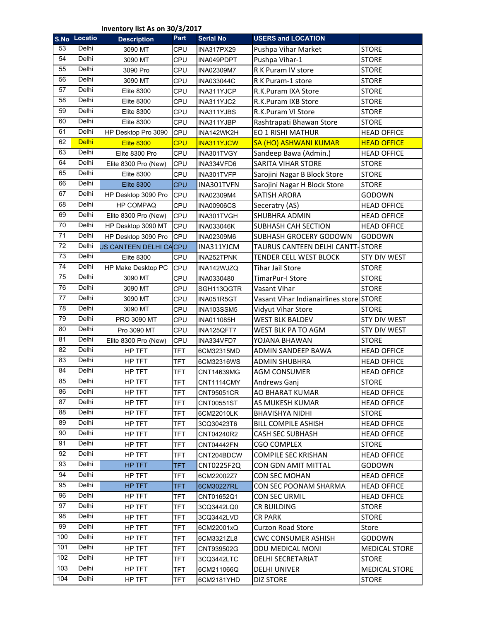#### **Inventory list As on 30/3/2017**

|     | S.No Locatio | entory not <i>r</i> to on <i>oo<sub>l</sub></i> o <sub>l</sub> = c<br><b>Description</b> | Part       | <b>Serial No</b>  | <b>USERS and LOCATION</b>               |                      |
|-----|--------------|------------------------------------------------------------------------------------------|------------|-------------------|-----------------------------------------|----------------------|
| 53  | Delhi        | 3090 MT                                                                                  | CPU        | <b>INA317PX29</b> | Pushpa Vihar Market                     | <b>STORE</b>         |
| 54  | Delhi        | 3090 MT                                                                                  | CPU        | INA049PDPT        | Pushpa Vihar-1                          | <b>STORE</b>         |
| 55  | Delhi        | 3090 Pro                                                                                 | CPU        | INA02309M7        | R K Puram IV store                      | <b>STORE</b>         |
| 56  | Delhi        | 3090 MT                                                                                  | CPU        | INA033044C        | R K Puram-1 store                       | <b>STORE</b>         |
| 57  | Delhi        | <b>Elite 8300</b>                                                                        | CPU        | INA311YJCP        | R.K.Puram IXA Store                     | <b>STORE</b>         |
| 58  | Delhi        | <b>Elite 8300</b>                                                                        | CPU        | INA311YJC2        | R.K.Puram IXB Store                     | <b>STORE</b>         |
| 59  | Delhi        | <b>Elite 8300</b>                                                                        | CPU        | INA311YJBS        | R.K.Puram VI Store                      | <b>STORE</b>         |
| 60  | Delhi        | <b>Elite 8300</b>                                                                        | CPU        | INA311YJBP        | Rashtrapati Bhawan Store                | <b>STORE</b>         |
| 61  | Delhi        | HP Desktop Pro 3090                                                                      | CPU        | INA142WK2H        | EO 1 RISHI MATHUR                       | <b>HEAD OFFICE</b>   |
| 62  | <b>Delhi</b> | <b>Elite 8300</b>                                                                        | <b>CPU</b> | <b>INA311YJCW</b> | <b>SA (HO) ASHWANI KUMAR</b>            | <b>HEAD OFFICE</b>   |
| 63  | Delhi        | Elite 8300 Pro                                                                           | CPU        | INA301TVGY        | Sandeep Bawa (Admin.)                   | <b>HEAD OFFICE</b>   |
| 64  | Delhi        | Elite 8300 Pro (New)                                                                     | <b>CPU</b> | INA334VFD6        | SARITA VIHAR STORE                      | <b>STORE</b>         |
| 65  | Delhi        | <b>Elite 8300</b>                                                                        | CPU        | INA301TVFP        | Sarojini Nagar B Block Store            | <b>STORE</b>         |
| 66  | Delhi        | <b>Elite 8300</b>                                                                        | <b>CPU</b> | INA301TVFN        | Sarojini Nagar H Block Store            | <b>STORE</b>         |
| 67  | Delhi        | HP Desktop 3090 Pro                                                                      | CPU        | INA02309M4        | SATISH ARORA                            | GODOWN               |
| 68  | Delhi        | <b>HP COMPAQ</b>                                                                         | CPU        | <b>INA00906CS</b> | Seceratry (AS)                          | <b>HEAD OFFICE</b>   |
| 69  | Delhi        | Elite 8300 Pro (New)                                                                     | CPU        | INA301TVGH        | SHUBHRA ADMIN                           | <b>HEAD OFFICE</b>   |
| 70  | Delhi        | HP Desktop 3090 MT                                                                       | <b>CPU</b> | INA033046K        | SUBHASH CAH SECTION                     | <b>HEAD OFFICE</b>   |
| 71  | Delhi        | HP Desktop 3090 Pro                                                                      | <b>CPU</b> | INA02309M6        | SUBHASH GROCERY GODOWN                  | GODOWN               |
| 72  | Delhi        | US CANTEEN DELHI CACPU                                                                   |            | INA311YJCM        | TAURUS CANTEEN DELHI CANTT-STORE        |                      |
| 73  | Delhi        | <b>Elite 8300</b>                                                                        | CPU        | INA252TPNK        | TENDER CELL WEST BLOCK                  | <b>STY DIV WEST</b>  |
| 74  | Delhi        | HP Make Desktop PC                                                                       | CPU        | INA142WJZQ        | <b>Tihar Jail Store</b>                 | <b>STORE</b>         |
| 75  | Delhi        | 3090 MT                                                                                  | CPU        | INA0330480        | TimarPur-I Store                        | <b>STORE</b>         |
| 76  | Delhi        | 3090 MT                                                                                  | CPU        | SGH113QGTR        | Vasant Vihar                            | <b>STORE</b>         |
| 77  | Delhi        | 3090 MT                                                                                  | CPU        | INA051R5GT        | Vasant Vihar Indianairlines store STORE |                      |
| 78  | Delhi        | 3090 MT                                                                                  | CPU        | <b>INA103SSM5</b> | Vidyut Vihar Store                      | <b>STORE</b>         |
| 79  | Delhi        | PRO 3090 MT                                                                              | CPU        | INA011085H        | <b>WEST BLK BALDEV</b>                  | <b>STY DIV WEST</b>  |
| 80  | Delhi        | Pro 3090 MT                                                                              | CPU        | INA125QFT7        | WEST BLK PA TO AGM                      | <b>STY DIV WEST</b>  |
| 81  | Delhi        | Elite 8300 Pro (New)                                                                     | CPU        | INA334VFD7        | YOJANA BHAWAN                           | <b>STORE</b>         |
| 82  | Delhi        | HP TFT                                                                                   | TFT        | 6CM32315MD        | ADMIN SANDEEP BAWA                      | <b>HEAD OFFICE</b>   |
| 83  | Delhi        | HP TFT                                                                                   | <b>TFT</b> | 6CM32316WS        | <b>ADMIN SHUBHRA</b>                    | <b>HEAD OFFICE</b>   |
| 84  | Delhi        | HP TFT                                                                                   | <b>TFT</b> | CNT14639MG        | <b>AGM CONSUMER</b>                     | <b>HEAD OFFICE</b>   |
| 85  | Delhi        | HP TFT                                                                                   | <b>TFT</b> | CNT1114CMY        | Andrews Ganj                            | <b>STORE</b>         |
| 86  | Delhi        | HP TFT                                                                                   | <b>TFT</b> | <b>CNT95051CR</b> | AO BHARAT KUMAR                         | <b>HEAD OFFICE</b>   |
| 87  | Delhi        | HP TFT                                                                                   | <b>TFT</b> | CNT00551ST        | AS MUKESH KUMAR                         | <b>HEAD OFFICE</b>   |
| 88  | Delhi        | HP TFT                                                                                   | <b>TFT</b> | 6CM22010LK        | <b>BHAVISHYA NIDHI</b>                  | <b>STORE</b>         |
| 89  | Delhi        | HP TFT                                                                                   | <b>TFT</b> | 3CQ30423T6        | <b>BILL COMPILE ASHISH</b>              | <b>HEAD OFFICE</b>   |
| 90  | Delhi        | HP TFT                                                                                   | TFT        | CNT04240R2        | <b>CASH SEC SUBHASH</b>                 | <b>HEAD OFFICE</b>   |
| 91  | Delhi        | HP TFT                                                                                   | <b>TFT</b> | <b>CNT04442FN</b> | <b>CGO COMPLEX</b>                      | <b>STORE</b>         |
| 92  | Delhi        | HP TFT                                                                                   | TFT        | CNT204BDCW        | <b>COMPILE SEC KRISHAN</b>              | <b>HEAD OFFICE</b>   |
| 93  | Delhi        | HP TFT                                                                                   | TFT        | CNT0225F2Q        | <b>CON GDN AMIT MITTAL</b>              | GODOWN               |
| 94  | Delhi        | HP TFT                                                                                   | <b>TFT</b> | 6CM22002Z7        | CON SEC MOHAN                           | <b>HEAD OFFICE</b>   |
| 95  | Delhi        | HP TFT                                                                                   | <b>TFT</b> | 6CM30227RL        | <b>CON SEC POONAM SHARMA</b>            | <b>HEAD OFFICE</b>   |
| 96  | Delhi        | HP TFT                                                                                   | TFT        | CNT01652Q1        | <b>CON SEC URMIL</b>                    | <b>HEAD OFFICE</b>   |
| 97  | Delhi        | HP TFT                                                                                   | <b>TFT</b> | 3CQ3442LQ0        | CR BUILDING                             | <b>STORE</b>         |
| 98  | Delhi        | HP TFT                                                                                   | <b>TFT</b> | 3CQ3442LVD        | <b>CR PARK</b>                          | <b>STORE</b>         |
| 99  | Delhi        | HP TFT                                                                                   | <b>TFT</b> | 6CM22001xQ        | <b>Curzon Road Store</b>                | Store                |
| 100 | Delhi        | HP TFT                                                                                   | TFT        | 6CM3321ZL8        | <b>CWC CONSUMER ASHISH</b>              | GODOWN               |
| 101 | Delhi        | HP TFT                                                                                   | TFT        | CNT939502G        | DDU MEDICAL MONI                        | <b>MEDICAL STORE</b> |
| 102 | Delhi        | HP TFT                                                                                   | TFT        | 3CQ3442LTC        | <b>DELHI SECRETARIAT</b>                | <b>STORE</b>         |
| 103 | Delhi        | HP TFT                                                                                   | TFT        | 6CM211066Q        | <b>DELHI UNIVER</b>                     | <b>MEDICAL STORE</b> |
| 104 | Delhi        | HP TFT                                                                                   | TFT        | 6CM2181YHD        | <b>DIZ STORE</b>                        | <b>STORE</b>         |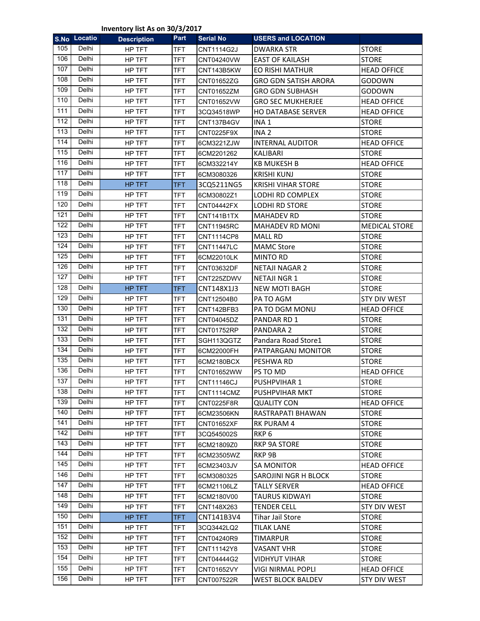**Inventory list As on 30/3/2017**

|     | S.No Locatio | <b>Description</b> | Part       | <b>Serial No</b>  | <b>USERS and LOCATION</b>   |                      |
|-----|--------------|--------------------|------------|-------------------|-----------------------------|----------------------|
| 105 | <b>Delhi</b> | HP TFT             | <b>TFT</b> | <b>CNT1114G2J</b> | <b>DWARKA STR</b>           | <b>STORE</b>         |
| 106 | Delhi        | HP TFT             | <b>TFT</b> | CNT04240VW        | <b>EAST OF KAILASH</b>      | <b>STORE</b>         |
| 107 | Delhi        | HP TFT             | <b>TFT</b> | CNT143B5KW        | EO RISHI MATHUR             | <b>HEAD OFFICE</b>   |
| 108 | Delhi        | HP TFT             | <b>TFT</b> | CNT01652ZG        | <b>GRO GDN SATISH ARORA</b> | GODOWN               |
| 109 | Delhi        | HP TFT             | <b>TFT</b> | CNT01652ZM        | <b>GRO GDN SUBHASH</b>      | GODOWN               |
| 110 | Delhi        | HP TFT             | <b>TFT</b> | CNT01652VW        | <b>GRO SEC MUKHERJEE</b>    | <b>HEAD OFFICE</b>   |
| 111 | Delhi        | HP TFT             | <b>TFT</b> | 3CQ34518WP        | <b>HO DATABASE SERVER</b>   | <b>HEAD OFFICE</b>   |
| 112 | <b>Delhi</b> | HP TFT             | <b>TFT</b> | CNT137B4GV        | INA <sub>1</sub>            | <b>STORE</b>         |
| 113 | Delhi        | HP TFT             | <b>TFT</b> | CNT0225F9X        | INA <sub>2</sub>            | <b>STORE</b>         |
| 114 | Delhi        | HP TFT             | <b>TFT</b> | 6CM3221ZJW        | <b>INTERNAL AUDITOR</b>     | <b>HEAD OFFICE</b>   |
| 115 | Delhi        | HP TFT             | <b>TFT</b> | 6CM2201262        | KALIBARI                    | <b>STORE</b>         |
| 116 | Delhi        | HP TFT             | <b>TFT</b> | 6CM332214Y        | <b>KB MUKESH B</b>          | <b>HEAD OFFICE</b>   |
| 117 | <b>Delhi</b> | HP TFT             | <b>TFT</b> | 6CM3080326        | <b>KRISHI KUNJ</b>          | <b>STORE</b>         |
| 118 | Delhi        | HP TFT             | <b>TFT</b> | 3CQ5211NG5        | <b>KRISHI VIHAR STORE</b>   | <b>STORE</b>         |
| 119 | Delhi        | HP TFT             | <b>TFT</b> | 6CM30802Z1        | LODHI RD COMPLEX            | <b>STORE</b>         |
| 120 | Delhi        | HP TFT             | <b>TFT</b> | <b>CNT04442FX</b> | LODHI RD STORE              | <b>STORE</b>         |
| 121 | Delhi        | HP TFT             | <b>TFT</b> | CNT141B1TX        | <b>MAHADEV RD</b>           | <b>STORE</b>         |
| 122 | <b>Delhi</b> | HP TFT             | <b>TFT</b> | <b>CNT11945RC</b> | <b>MAHADEV RD MONI</b>      | <b>MEDICAL STORE</b> |
| 123 | Delhi        | HP TFT             | <b>TFT</b> | CNT1114CP8        | <b>MALL RD</b>              | <b>STORE</b>         |
| 124 | Delhi        | HP TFT             | <b>TFT</b> | <b>CNT11447LC</b> | <b>MAMC Store</b>           | <b>STORE</b>         |
| 125 | Delhi        | HP TFT             | <b>TFT</b> | 6CM22010LK        | <b>MINTO RD</b>             | <b>STORE</b>         |
| 126 | Delhi        | HP TFT             | <b>TFT</b> | CNT03632DF        | <b>NETAJI NAGAR 2</b>       | <b>STORE</b>         |
| 127 | Delhi        | HP TFT             | <b>TFT</b> | CNT225ZDWV        | <b>NETAJI NGR 1</b>         | <b>STORE</b>         |
| 128 | Delhi        | HP TFT             | <b>TFT</b> | CNT148X1J3        | <b>NEW MOTI BAGH</b>        | <b>STORE</b>         |
| 129 | <b>Delhi</b> | HP TFT             | <b>TFT</b> | CNT12504B0        | PA TO AGM                   | <b>STY DIV WEST</b>  |
| 130 | Delhi        | HP TFT             | <b>TFT</b> | CNT142BFB3        | PA TO DGM MONU              | <b>HEAD OFFICE</b>   |
| 131 | <b>Delhi</b> | HP TFT             | TFT        | CNT04045DZ        | PANDAR RD 1                 | <b>STORE</b>         |
| 132 | Delhi        | HP TFT             | <b>TFT</b> | <b>CNT01752RP</b> | PANDARA <sub>2</sub>        | <b>STORE</b>         |
| 133 | Delhi        | HP TFT             | <b>TFT</b> | SGH113QGTZ        | Pandara Road Store1         | <b>STORE</b>         |
| 134 | Delhi        | HP TFT             | <b>TFT</b> | 6CM22000FH        | PATPARGANJ MONITOR          | <b>STORE</b>         |
| 135 | Delhi        | HP TFT             | <b>TFT</b> | 6CM2180BCX        | PESHWA RD                   | <b>STORE</b>         |
| 136 | Delhi        | HP TFT             | TFT        | CNT01652WW        | PS TO MD                    | <b>HEAD OFFICE</b>   |
| 137 | Delhi        | HP TFT             | <b>TFT</b> | <b>CNT11146CJ</b> | PUSHPVIHAR 1                | <b>STORE</b>         |
| 138 | Delhi        | HP TFT             | TFT        | CNT1114CMZ        | PUSHPVIHAR MKT              | <b>STORE</b>         |
| 139 | Delhi        | HP TFT             | TFT        | <b>CNT0225F8R</b> | QUALITY CON                 | <b>HEAD OFFICE</b>   |
| 140 | Delhi        | HP TFT             | TFT        | 6CM23506KN        | RASTRAPATI BHAWAN           | <b>STORE</b>         |
| 141 | Delhi        | HP TFT             | <b>TFT</b> | CNT01652XF        | RK PURAM 4                  | <b>STORE</b>         |
| 142 | Delhi        | HP TFT             | <b>TFT</b> | 3CQ545002S        | RKP <sub>6</sub>            | <b>STORE</b>         |
| 143 | Delhi        | HP TFT             | TFT        | 6CM21809Z0        | RKP 9A STORE                | <b>STORE</b>         |
| 144 | Delhi        | HP TFT             | TFT        | 6CM23505WZ        | RKP <sub>9B</sub>           | <b>STORE</b>         |
| 145 | Delhi        | HP TFT             | TFT        | 6CM23403JV        | SA MONITOR                  | <b>HEAD OFFICE</b>   |
| 146 | Delhi        | HP TFT             | TFT        | 6CM3080325        | SAROJINI NGR H BLOCK        | <b>STORE</b>         |
| 147 | Delhi        | HP TFT             | <b>TFT</b> | 6CM21106LZ        | <b>TALLY SERVER</b>         | <b>HEAD OFFICE</b>   |
| 148 | Delhi        | HP TFT             | <b>TFT</b> | 6CM2180V00        | <b>TAURUS KIDWAYI</b>       | <b>STORE</b>         |
| 149 | Delhi        | HP TFT             | <b>TFT</b> | CNT148X263        | <b>TENDER CELL</b>          | <b>STY DIV WEST</b>  |
| 150 | Delhi        | HP TFT             | TFT        | CNT141B3V4        | <b>Tihar Jail Store</b>     | <b>STORE</b>         |
| 151 | Delhi        | HP TFT             | TFT        | 3CQ3442LQ2        | <b>TILAK LANE</b>           | <b>STORE</b>         |
| 152 | Delhi        | HP TFT             | TFT        | CNT04240R9        | <b>TIMARPUR</b>             | <b>STORE</b>         |
| 153 | Delhi        | HP TFT             | <b>TFT</b> | CNT11142Y8        | <b>VASANT VHR</b>           | <b>STORE</b>         |
| 154 | Delhi        | HP TFT             | <b>TFT</b> | CNT04444G2        | VIDHYUT VIHAR               | <b>STORE</b>         |
| 155 | Delhi        | HP TFT             | TFT        | CNT01652VY        | VIGI NIRMAL POPLI           | <b>HEAD OFFICE</b>   |
| 156 | Delhi        | HP TFT             | <b>TFT</b> | CNT007522R        | <b>WEST BLOCK BALDEV</b>    | <b>STY DIV WEST</b>  |